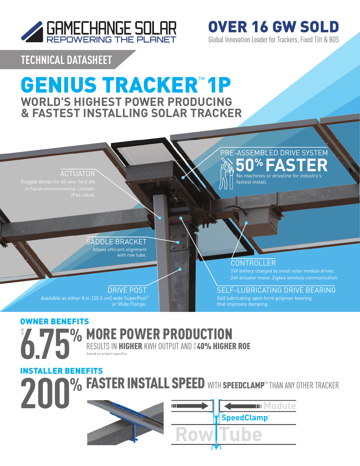

**TECHNICAL DATASHEET**

# GENIUS TRACKER™ 1P **WORLD'S HIGHEST POWER PRODUCING & FASTEST INSTALLING SOLAR TRACKER**



Global Innovation Leader for Trackers, Fixed Tilt & BOS

OVER 16 GW SOLD

**% FASTER INSTALL SPEED WITH SPEEDCLAMP<sup>®</sup> THAN ANY OTHER TRACKER 6.75% 200** RESULTS IN **HIGHER** KWH OUTPUT AND **#40% HIGHER ROE** INSTALLER BENEFITS based on project specifics